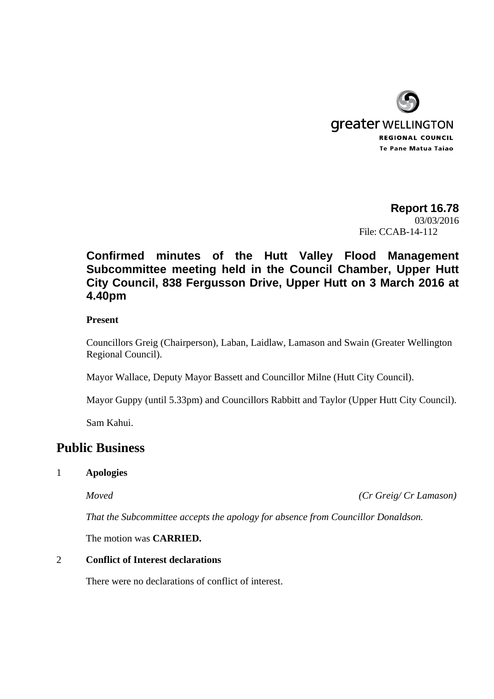

# **Report 16.78**  03/03/2016 File: CCAB-14-112

# **Confirmed minutes of the Hutt Valley Flood Management Subcommittee meeting held in the Council Chamber, Upper Hutt City Council, 838 Fergusson Drive, Upper Hutt on 3 March 2016 at 4.40pm**

#### **Present**

Councillors Greig (Chairperson), Laban, Laidlaw, Lamason and Swain (Greater Wellington Regional Council).

Mayor Wallace, Deputy Mayor Bassett and Councillor Milne (Hutt City Council).

Mayor Guppy (until 5.33pm) and Councillors Rabbitt and Taylor (Upper Hutt City Council).

Sam Kahui.

# **Public Business**

#### 1 **Apologies**

*Moved (Cr Greig/ Cr Lamason)* 

*That the Subcommittee accepts the apology for absence from Councillor Donaldson.* 

The motion was **CARRIED.** 

#### 2 **Conflict of Interest declarations**

There were no declarations of conflict of interest.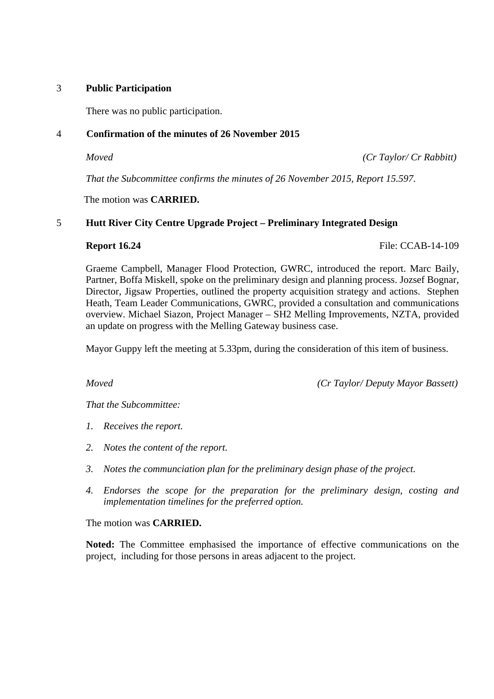#### 3 **Public Participation**

There was no public participation.

### 4 **Confirmation of the minutes of 26 November 2015**

*Moved (Cr Taylor/ Cr Rabbitt)* 

*That the Subcommittee confirms the minutes of 26 November 2015, Report 15.597.* 

The motion was **CARRIED.** 

## 5 **Hutt River City Centre Upgrade Project – Preliminary Integrated Design**

**Report 16.24 File: CCAB-14-109** 

Graeme Campbell, Manager Flood Protection, GWRC, introduced the report. Marc Baily, Partner, Boffa Miskell, spoke on the preliminary design and planning process. Jozsef Bognar, Director, Jigsaw Properties, outlined the property acquisition strategy and actions. Stephen Heath, Team Leader Communications, GWRC, provided a consultation and communications overview. Michael Siazon, Project Manager – SH2 Melling Improvements, NZTA, provided an update on progress with the Melling Gateway business case.

Mayor Guppy left the meeting at 5.33pm, during the consideration of this item of business.

*Moved (Cr Taylor/ Deputy Mayor Bassett)* 

*That the Subcommittee:* 

- *1. Receives the report.*
- *2. Notes the content of the report.*
- *3. Notes the communciation plan for the preliminary design phase of the project.*
- *4. Endorses the scope for the preparation for the preliminary design, costing and implementation timelines for the preferred option.*

The motion was **CARRIED.** 

**Noted:** The Committee emphasised the importance of effective communications on the project, including for those persons in areas adjacent to the project.